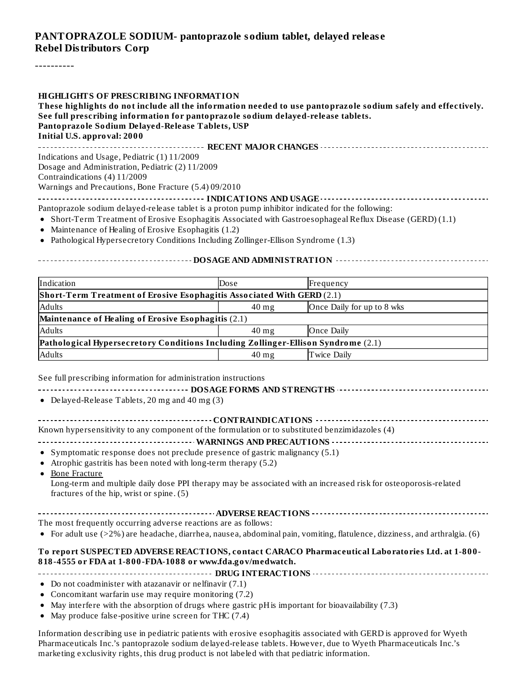#### **PANTOPRAZOLE SODIUM- pantoprazole sodium tablet, delayed releas e Rebel Distributors Corp**

----------

| <b>HIGHLIGHTS OF PRESCRIBING INFORMATION</b><br>These highlights do not include all the information needed to use pantoprazole sodium safely and effectively. |
|---------------------------------------------------------------------------------------------------------------------------------------------------------------|
| See full prescribing information for pantoprazole sodium delayed-release tablets.                                                                             |
| Pantoprazole Sodium Delayed-Release Tablets, USP                                                                                                              |
| Initial U.S. approval: 2000                                                                                                                                   |
|                                                                                                                                                               |
| Indications and Usage, Pediatric (1) 11/2009                                                                                                                  |
| Dosage and Administration, Pediatric (2) 11/2009                                                                                                              |
| Contraindications (4) 11/2009                                                                                                                                 |
| Warnings and Precautions, Bone Fracture (5.4) 09/2010                                                                                                         |
|                                                                                                                                                               |
| Pantoprazole sodium delayed-release tablet is a proton pump inhibitor indicated for the following:                                                            |
| • Short-Term Treatment of Erosive Esophagitis Associated with Gastroesophageal Reflux Disease (GERD) (1.1)                                                    |
| • Maintenance of Healing of Erosive Esophagitis $(1.2)$                                                                                                       |

• Pathological Hypersecretory Conditions Including Zollinger-Ellison Syndrome (1.3)

#### **DOSAGE AND ADMINISTRATION**

| Indication                                                                        | Dose            | Frequency                  |  |  |
|-----------------------------------------------------------------------------------|-----------------|----------------------------|--|--|
| Short-Term Treatment of Erosive Esophagitis Associated With GERD (2.1)            |                 |                            |  |  |
| <b>Adults</b>                                                                     | $40$ mg         | Once Daily for up to 8 wks |  |  |
| Maintenance of Healing of Erosive Esophagitis (2.1)                               |                 |                            |  |  |
| <b>Adults</b>                                                                     | $40 \text{ mg}$ | Once Daily                 |  |  |
| Pathological Hypersecretory Conditions Including Zollinger-Ellison Syndrome (2.1) |                 |                            |  |  |
| <b>Adults</b>                                                                     | $40 \text{ mg}$ | Twice Daily                |  |  |

See full prescribing information for administration instructions

| • Delayed-Release Tablets, 20 mg and 40 mg (3)                                                                                                                                                                                                                                                                                                                                                                                                          |
|---------------------------------------------------------------------------------------------------------------------------------------------------------------------------------------------------------------------------------------------------------------------------------------------------------------------------------------------------------------------------------------------------------------------------------------------------------|
| Known hypersensitivity to any component of the formulation or to substituted benzimidazoles (4)<br>• Symptomatic response does not preclude presence of gastric malignancy (5.1)<br>Atrophic gastritis has been noted with long-term therapy (5.2)<br><b>Bone Fracture</b><br>$\bullet$<br>Long-term and multiple daily dose PPI therapy may be associated with an increased risk for osteoporosis-related<br>fractures of the hip, wrist or spine. (5) |
|                                                                                                                                                                                                                                                                                                                                                                                                                                                         |
| The most frequently occurring adverse reactions are as follows:                                                                                                                                                                                                                                                                                                                                                                                         |
| • For adult use (>2%) are headache, diarrhea, nausea, abdominal pain, vomiting, flatulence, dizziness, and arthralgia. (6)                                                                                                                                                                                                                                                                                                                              |
| To report SUSPECTED ADVERSE REACTIONS, contact CARACO Pharmaceutical Laboratories Ltd. at 1-800-<br>818-4555 or FDA at 1-800-FDA-1088 or www.fda.gov/medwatch.                                                                                                                                                                                                                                                                                          |
|                                                                                                                                                                                                                                                                                                                                                                                                                                                         |
| • Do not coadminister with atazanavir or nelfinavir $(7.1)$                                                                                                                                                                                                                                                                                                                                                                                             |
| • Concomitant warfarin use may require monitoring (7.2)                                                                                                                                                                                                                                                                                                                                                                                                 |
| . As the function of the contract of $\mathbf{r}$ , and $\mathbf{r}$ is the function of $\mathbf{r}$                                                                                                                                                                                                                                                                                                                                                    |

- May interfere with the absorption of drugs where gastric pH is important for bioavailability (7.3)
- May produce false-positive urine screen for THC (7.4)

Information describing use in pediatric patients with erosive esophagitis associated with GERD is approved for Wyeth Pharmaceuticals Inc.'s pantoprazole sodium delayed-release tablets. However, due to Wyeth Pharmaceuticals Inc.'s marketing exclusivity rights, this drug product is not labeled with that pediatric information.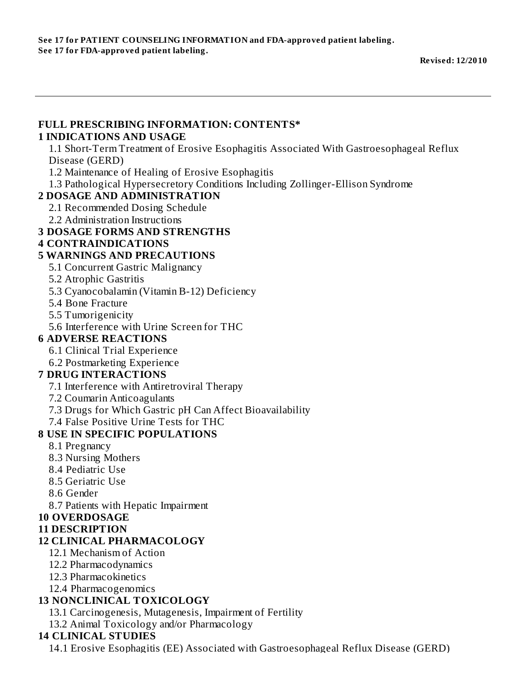#### **FULL PRESCRIBING INFORMATION: CONTENTS\* 1 INDICATIONS AND USAGE** 1.1 Short-Term Treatment of Erosive Esophagitis Associated With Gastroesophageal Reflux Disease (GERD) 1.2 Maintenance of Healing of Erosive Esophagitis 1.3 Pathological Hypersecretory Conditions Including Zollinger-Ellison Syndrome **2 DOSAGE AND ADMINISTRATION** 2.1 Recommended Dosing Schedule 2.2 Administration Instructions **3 DOSAGE FORMS AND STRENGTHS 4 CONTRAINDICATIONS 5 WARNINGS AND PRECAUTIONS** 5.1 Concurrent Gastric Malignancy 5.2 Atrophic Gastritis 5.3 Cyanocobalamin (Vitamin B-12) Deficiency 5.4 Bone Fracture 5.5 Tumorigenicity 5.6 Interference with Urine Screen for THC **6 ADVERSE REACTIONS** 6.1 Clinical Trial Experience 6.2 Postmarketing Experience **7 DRUG INTERACTIONS** 7.1 Interference with Antiretroviral Therapy 7.2 Coumarin Anticoagulants 7.3 Drugs for Which Gastric pH Can Affect Bioavailability 7.4 False Positive Urine Tests for THC **8 USE IN SPECIFIC POPULATIONS** 8.1 Pregnancy 8.3 Nursing Mothers 8.4 Pediatric Use 8.5 Geriatric Use 8.6 Gender 8.7 Patients with Hepatic Impairment **10 OVERDOSAGE 11 DESCRIPTION 12 CLINICAL PHARMACOLOGY** 12.1 Mechanism of Action 12.2 Pharmacodynamics 12.3 Pharmacokinetics 12.4 Pharmacogenomics **13 NONCLINICAL TOXICOLOGY** 13.1 Carcinogenesis, Mutagenesis, Impairment of Fertility 13.2 Animal Toxicology and/or Pharmacology **14 CLINICAL STUDIES**

14.1 Erosive Esophagitis (EE) Associated with Gastroesophageal Reflux Disease (GERD)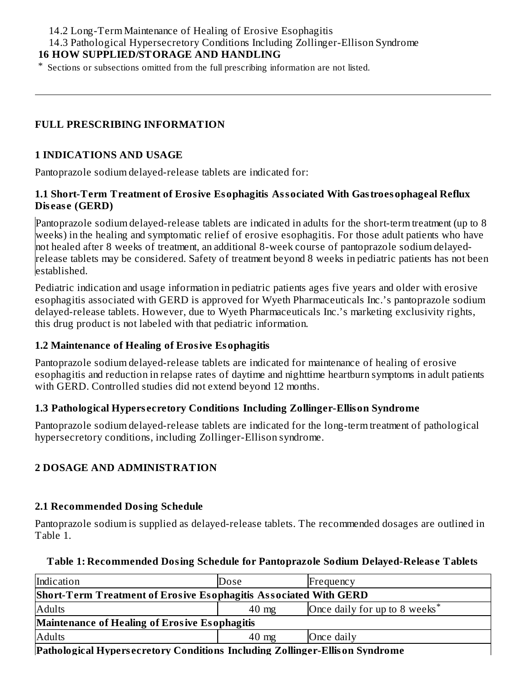14.2 Long-Term Maintenance of Healing of Erosive Esophagitis

14.3 Pathological Hypersecretory Conditions Including Zollinger-Ellison Syndrome

### **16 HOW SUPPLIED/STORAGE AND HANDLING**

\* Sections or subsections omitted from the full prescribing information are not listed.

#### **FULL PRESCRIBING INFORMATION**

#### **1 INDICATIONS AND USAGE**

Pantoprazole sodium delayed-release tablets are indicated for:

#### **1.1 Short-Term Treatment of Erosive Esophagitis Associated With Gastroesophageal Reflux Dis eas e (GERD)**

Pantoprazole sodium delayed-release tablets are indicated in adults for the short-term treatment (up to 8 weeks) in the healing and symptomatic relief of erosive esophagitis. For those adult patients who have not healed after 8 weeks of treatment, an additional 8-week course of pantoprazole sodium delayedrelease tablets may be considered. Safety of treatment beyond 8 weeks in pediatric patients has not been established.

Pediatric indication and usage information in pediatric patients ages five years and older with erosive esophagitis associated with GERD is approved for Wyeth Pharmaceuticals Inc.'s pantoprazole sodium delayed-release tablets. However, due to Wyeth Pharmaceuticals Inc.'s marketing exclusivity rights, this drug product is not labeled with that pediatric information.

#### **1.2 Maintenance of Healing of Erosive Esophagitis**

Pantoprazole sodium delayed-release tablets are indicated for maintenance of healing of erosive esophagitis and reduction in relapse rates of daytime and nighttime heartburn symptoms in adult patients with GERD. Controlled studies did not extend beyond 12 months.

#### **1.3 Pathological Hypers ecretory Conditions Including Zollinger-Ellison Syndrome**

Pantoprazole sodium delayed-release tablets are indicated for the long-term treatment of pathological hypersecretory conditions, including Zollinger-Ellison syndrome.

### **2 DOSAGE AND ADMINISTRATION**

### **2.1 Recommended Dosing Schedule**

Pantoprazole sodium is supplied as delayed-release tablets. The recommended dosages are outlined in Table 1.

#### **Table 1: Recommended Dosing Schedule for Pantoprazole Sodium Delayed-Releas e Tablets**

| Indication                                                                  | Dose            | Frequency                                 |  |  |
|-----------------------------------------------------------------------------|-----------------|-------------------------------------------|--|--|
| <b>Short-Term Treatment of Erosive Esophagitis Associated With GERD</b>     |                 |                                           |  |  |
| Adults                                                                      | $40 \text{ mg}$ | Once daily for up to 8 weeks <sup>*</sup> |  |  |
| Maintenance of Healing of Erosive Esophagitis                               |                 |                                           |  |  |
| <b>Adults</b>                                                               | $40 \text{ mg}$ | Once daily                                |  |  |
| Dathological Hypercearctory Conditions Including Zellinger Fllicen Syndrome |                 |                                           |  |  |

**Pathological Hypers ecretory Conditions Including Zollinger-Ellison Syndrome**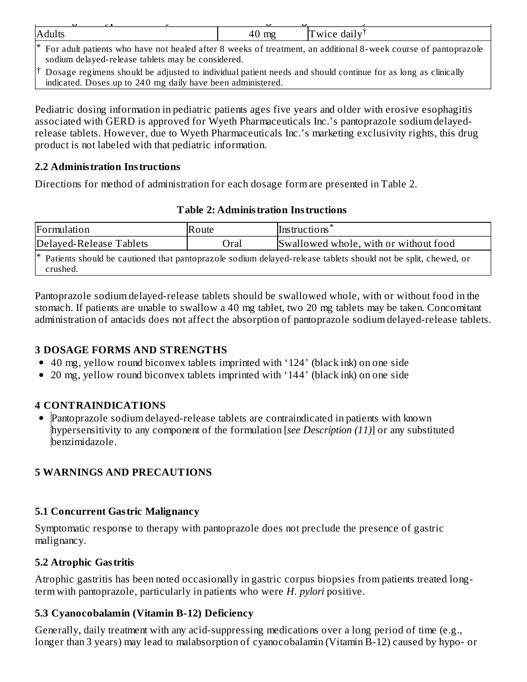| <b>Adults</b>                                                                                                                                                               | $40 \text{ mg}$ | Twice daily <sup>†</sup> |  |  |
|-----------------------------------------------------------------------------------------------------------------------------------------------------------------------------|-----------------|--------------------------|--|--|
| For adult patients who have not healed after 8 weeks of treatment, an additional 8-week course of pantoprazole<br>sodium delayed-release tablets may be considered.         |                 |                          |  |  |
| Dosage regimens should be adjusted to individual patient needs and should continue for as long as clinically<br>indicated. Doses up to 240 mg daily have been administered. |                 |                          |  |  |

Pediatric dosing information in pediatric patients ages five years and older with erosive esophagitis associated with GERD is approved for Wyeth Pharmaceuticals Inc.'s pantoprazole sodium delayedrelease tablets. However, due to Wyeth Pharmaceuticals Inc.'s marketing exclusivity rights, this drug product is not labeled with that pediatric information.

#### **2.2 Administration Instructions**

Directions for method of administration for each dosage form are presented in Table 2.

#### **Table 2: Administration Instructions**

| Formulation                                                                                                                            | Route | Instructions <sup>*</sup>             |  |  |
|----------------------------------------------------------------------------------------------------------------------------------------|-------|---------------------------------------|--|--|
| Delayed-Release Tablets                                                                                                                | Oral  | Swallowed whole, with or without food |  |  |
| <sup>*</sup> Patients should be cautioned that pantoprazole sodium delayed-release tablets should not be split, chewed, or<br>crushed. |       |                                       |  |  |

Pantoprazole sodium delayed-release tablets should be swallowed whole, with or without food in the stomach. If patients are unable to swallow a 40 mg tablet, two 20 mg tablets may be taken. Concomitant administration of antacids does not affect the absorption of pantoprazole sodium delayed-release tablets.

#### **3 DOSAGE FORMS AND STRENGTHS**

- 40 mg, yellow round biconvex tablets imprinted with '124' (black ink) on one side
- 20 mg, yellow round biconvex tablets imprinted with '144' (black ink) on one side

### **4 CONTRAINDICATIONS**

• Pantoprazole sodium delayed-release tablets are contraindicated in patients with known hypersensitivity to any component of the formulation [*see Description (11)*] or any substituted benzimidazole.

### **5 WARNINGS AND PRECAUTIONS**

#### **5.1 Concurrent Gastric Malignancy**

Symptomatic response to therapy with pantoprazole does not preclude the presence of gastric malignancy.

### **5.2 Atrophic Gastritis**

Atrophic gastritis has been noted occasionally in gastric corpus biopsies from patients treated longterm with pantoprazole, particularly in patients who were *H. pylori* positive.

### **5.3 Cyanocobalamin (Vitamin B-12) Deficiency**

Generally, daily treatment with any acid-suppressing medications over a long period of time (e.g., longer than 3 years) may lead to malabsorption of cyanocobalamin (Vitamin B-12) caused by hypo- or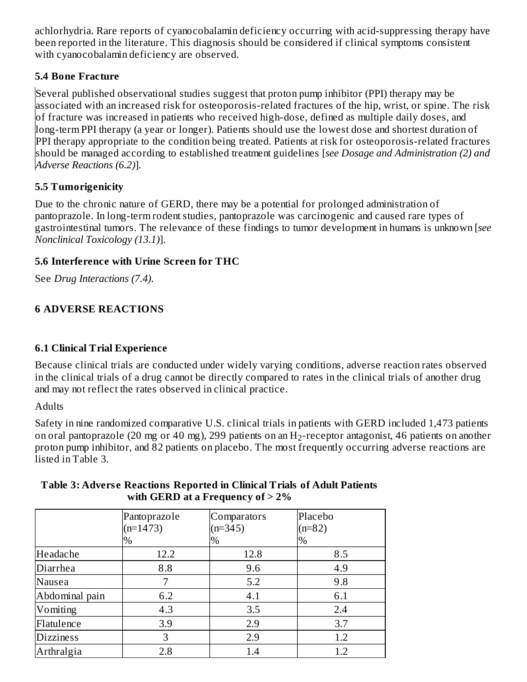achlorhydria. Rare reports of cyanocobalamin deficiency occurring with acid-suppressing therapy have been reported in the literature. This diagnosis should be considered if clinical symptoms consistent with cyanocobalamin deficiency are observed.

### **5.4 Bone Fracture**

Several published observational studies suggest that proton pump inhibitor (PPI) therapy may be associated with an increased risk for osteoporosis-related fractures of the hip, wrist, or spine. The risk of fracture was increased in patients who received high-dose, defined as multiple daily doses, and long-term PPI therapy (a year or longer). Patients should use the lowest dose and shortest duration of PPI therapy appropriate to the condition being treated. Patients at risk for osteoporosis-related fractures should be managed according to established treatment guidelines [*see Dosage and Administration (2) and Adverse Reactions (6.2)*].

### **5.5 Tumorigenicity**

Due to the chronic nature of GERD, there may be a potential for prolonged administration of pantoprazole. In long-term rodent studies, pantoprazole was carcinogenic and caused rare types of gastrointestinal tumors. The relevance of these findings to tumor development in humans is unknown [*see Nonclinical Toxicology (13.1)*].

### **5.6 Interference with Urine Screen for THC**

See *Drug Interactions (7.4)*.

### **6 ADVERSE REACTIONS**

### **6.1 Clinical Trial Experience**

Because clinical trials are conducted under widely varying conditions, adverse reaction rates observed in the clinical trials of a drug cannot be directly compared to rates in the clinical trials of another drug and may not reflect the rates observed in clinical practice.

**Adults** 

Safety in nine randomized comparative U.S. clinical trials in patients with GERD included 1,473 patients on oral pantoprazole (20 mg or 40 mg), 299 patients on an  $\rm{H}_{2}$ -receptor antagonist, 46 patients on another proton pump inhibitor, and 82 patients on placebo. The most frequently occurring adverse reactions are listed in Table 3.

|                  | Pantoprazole<br>$(n=1473)$<br>$\%$ | Comparators<br>$(n=345)$<br>% | Placebo<br>$(n=82)$<br>$\%$ |
|------------------|------------------------------------|-------------------------------|-----------------------------|
| Headache         | 12.2                               | 12.8                          | 8.5                         |
| Diarrhea         | 8.8                                | 9.6                           | 4.9                         |
| Nausea           | 7                                  | 5.2                           | 9.8                         |
| Abdominal pain   | 6.2                                | 4.1                           | 6.1                         |
| Vomiting         | 4.3                                | 3.5                           | 2.4                         |
| Flatulence       | 3.9                                | 2.9                           | 3.7                         |
| <b>Dizziness</b> | 3                                  | 2.9                           | 1.2                         |
| Arthralgia       | 2.8                                | 1.4                           | 1.2                         |

#### **Table 3: Advers e Reactions Reported in Clinical Trials of Adult Patients with GERD at a Frequency of > 2%**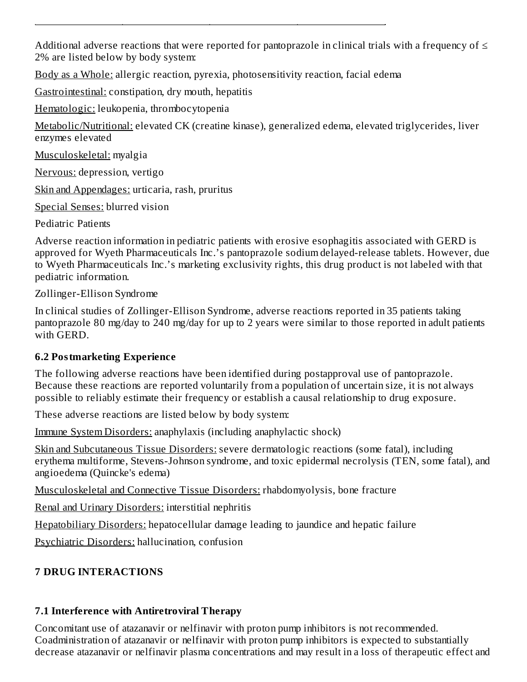Additional adverse reactions that were reported for pantoprazole in clinical trials with a frequency of  $\leq$ 2% are listed below by body system:

Body as a Whole: allergic reaction, pyrexia, photosensitivity reaction, facial edema

Gastrointestinal: constipation, dry mouth, hepatitis

Hematologic: leukopenia, thrombocytopenia

Metabolic/Nutritional: elevated CK (creatine kinase), generalized edema, elevated triglycerides, liver enzymes elevated

Musculoskeletal: myalgia

Nervous: depression, vertigo

Skin and Appendages: urticaria, rash, pruritus

Special Senses: blurred vision

Pediatric Patients

Adverse reaction information in pediatric patients with erosive esophagitis associated with GERD is approved for Wyeth Pharmaceuticals Inc.'s pantoprazole sodium delayed-release tablets. However, due to Wyeth Pharmaceuticals Inc.'s marketing exclusivity rights, this drug product is not labeled with that pediatric information.

Zollinger-Ellison Syndrome

In clinical studies of Zollinger-Ellison Syndrome, adverse reactions reported in 35 patients taking pantoprazole 80 mg/day to 240 mg/day for up to 2 years were similar to those reported in adult patients with GERD.

### **6.2 Postmarketing Experience**

The following adverse reactions have been identified during postapproval use of pantoprazole. Because these reactions are reported voluntarily from a population of uncertain size, it is not always possible to reliably estimate their frequency or establish a causal relationship to drug exposure.

These adverse reactions are listed below by body system:

Immune System Disorders: anaphylaxis (including anaphylactic shock)

Skin and Subcutaneous Tissue Disorders: severe dermatologic reactions (some fatal), including erythema multiforme, Stevens-Johnson syndrome, and toxic epidermal necrolysis (TEN, some fatal), and angioedema (Quincke's edema)

Musculoskeletal and Connective Tissue Disorders: rhabdomyolysis, bone fracture

Renal and Urinary Disorders: interstitial nephritis

Hepatobiliary Disorders: hepatocellular damage leading to jaundice and hepatic failure

Psychiatric Disorders: hallucination, confusion

## **7 DRUG INTERACTIONS**

# **7.1 Interference with Antiretroviral Therapy**

Concomitant use of atazanavir or nelfinavir with proton pump inhibitors is not recommended. Coadministration of atazanavir or nelfinavir with proton pump inhibitors is expected to substantially decrease atazanavir or nelfinavir plasma concentrations and may result in a loss of therapeutic effect and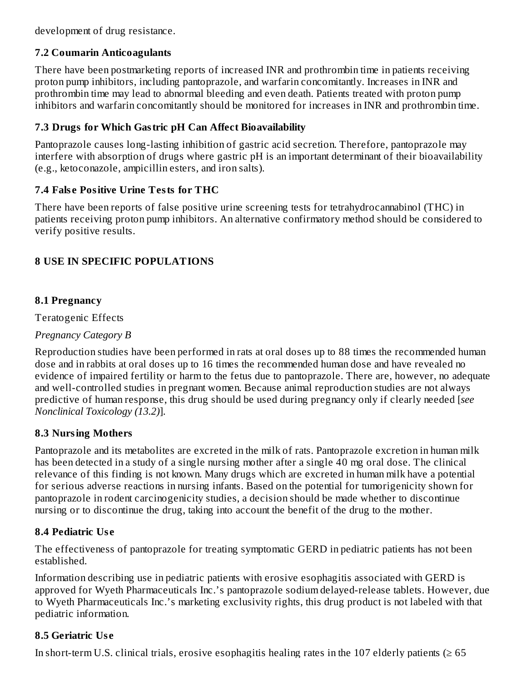development of drug resistance.

### **7.2 Coumarin Anticoagulants**

There have been postmarketing reports of increased INR and prothrombin time in patients receiving proton pump inhibitors, including pantoprazole, and warfarin concomitantly. Increases in INR and prothrombin time may lead to abnormal bleeding and even death. Patients treated with proton pump inhibitors and warfarin concomitantly should be monitored for increases in INR and prothrombin time.

### **7.3 Drugs for Which Gastric pH Can Affect Bioavailability**

Pantoprazole causes long-lasting inhibition of gastric acid secretion. Therefore, pantoprazole may interfere with absorption of drugs where gastric pH is an important determinant of their bioavailability (e.g., ketoconazole, ampicillin esters, and iron salts).

### **7.4 Fals e Positive Urine Tests for THC**

There have been reports of false positive urine screening tests for tetrahydrocannabinol (THC) in patients receiving proton pump inhibitors. An alternative confirmatory method should be considered to verify positive results.

### **8 USE IN SPECIFIC POPULATIONS**

### **8.1 Pregnancy**

Teratogenic Effects

### *Pregnancy Category B*

Reproduction studies have been performed in rats at oral doses up to 88 times the recommended human dose and in rabbits at oral doses up to 16 times the recommended human dose and have revealed no evidence of impaired fertility or harm to the fetus due to pantoprazole. There are, however, no adequate and well-controlled studies in pregnant women. Because animal reproduction studies are not always predictive of human response, this drug should be used during pregnancy only if clearly needed [*see Nonclinical Toxicology (13.2)*].

### **8.3 Nursing Mothers**

Pantoprazole and its metabolites are excreted in the milk of rats. Pantoprazole excretion in human milk has been detected in a study of a single nursing mother after a single 40 mg oral dose. The clinical relevance of this finding is not known. Many drugs which are excreted in human milk have a potential for serious adverse reactions in nursing infants. Based on the potential for tumorigenicity shown for pantoprazole in rodent carcinogenicity studies, a decision should be made whether to discontinue nursing or to discontinue the drug, taking into account the benefit of the drug to the mother.

### **8.4 Pediatric Us e**

The effectiveness of pantoprazole for treating symptomatic GERD in pediatric patients has not been established.

Information describing use in pediatric patients with erosive esophagitis associated with GERD is approved for Wyeth Pharmaceuticals Inc.'s pantoprazole sodium delayed-release tablets. However, due to Wyeth Pharmaceuticals Inc.'s marketing exclusivity rights, this drug product is not labeled with that pediatric information.

### **8.5 Geriatric Us e**

In short-term U.S. clinical trials, erosive esophagitis healing rates in the 107 elderly patients ( $\geq 65$ )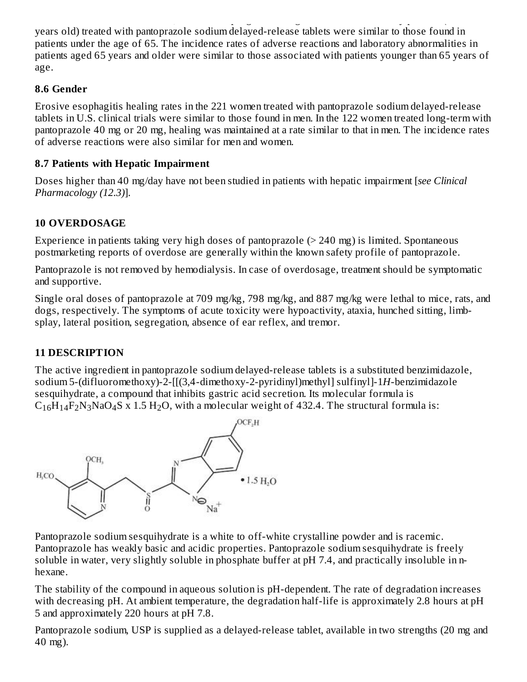In short-term U.S. clinical trials, erosive esophagitis healing rates in the 107 elderly patients (≥ 65 years old) treated with pantoprazole sodium delayed-release tablets were similar to those found in patients under the age of 65. The incidence rates of adverse reactions and laboratory abnormalities in patients aged 65 years and older were similar to those associated with patients younger than 65 years of age.

### **8.6 Gender**

Erosive esophagitis healing rates in the 221 women treated with pantoprazole sodium delayed-release tablets in U.S. clinical trials were similar to those found in men. In the 122 women treated long-term with pantoprazole 40 mg or 20 mg, healing was maintained at a rate similar to that in men. The incidence rates of adverse reactions were also similar for men and women.

### **8.7 Patients with Hepatic Impairment**

Doses higher than 40 mg/day have not been studied in patients with hepatic impairment [*see Clinical Pharmacology (12.3)*].

### **10 OVERDOSAGE**

Experience in patients taking very high doses of pantoprazole (> 240 mg) is limited. Spontaneous postmarketing reports of overdose are generally within the known safety profile of pantoprazole.

Pantoprazole is not removed by hemodialysis. In case of overdosage, treatment should be symptomatic and supportive.

Single oral doses of pantoprazole at 709 mg/kg, 798 mg/kg, and 887 mg/kg were lethal to mice, rats, and dogs, respectively. The symptoms of acute toxicity were hypoactivity, ataxia, hunched sitting, limbsplay, lateral position, segregation, absence of ear reflex, and tremor.

### **11 DESCRIPTION**

The active ingredient in pantoprazole sodium delayed-release tablets is a substituted benzimidazole, sodium 5-(difluoromethoxy)-2-[[(3,4-dimethoxy-2-pyridinyl)methyl] sulfinyl]-1*H*-benzimidazole sesquihydrate, a compound that inhibits gastric acid secretion. Its molecular formula is  $C_{16}H_{14}F_2N_3NaO_4S$  x 1.5 H<sub>2</sub>O, with a molecular weight of 432.4. The structural formula is:



Pantoprazole sodium sesquihydrate is a white to off-white crystalline powder and is racemic. Pantoprazole has weakly basic and acidic properties. Pantoprazole sodium sesquihydrate is freely soluble in water, very slightly soluble in phosphate buffer at pH 7.4, and practically insoluble in nhexane.

The stability of the compound in aqueous solution is pH-dependent. The rate of degradation increases with decreasing pH. At ambient temperature, the degradation half-life is approximately 2.8 hours at pH 5 and approximately 220 hours at pH 7.8.

Pantoprazole sodium, USP is supplied as a delayed-release tablet, available in two strengths (20 mg and 40 mg).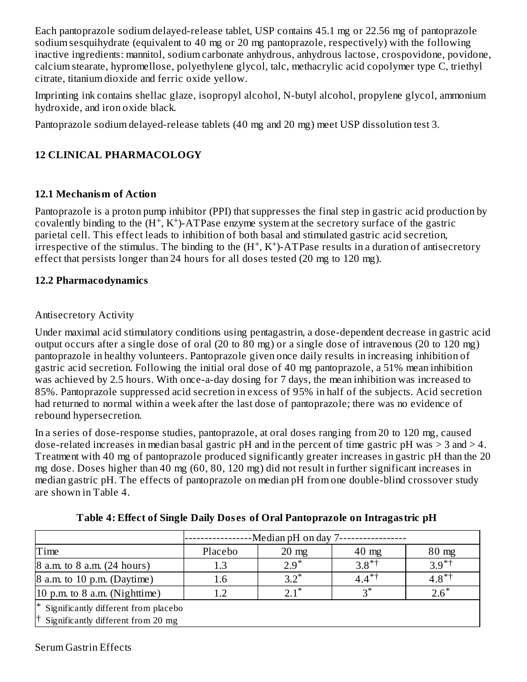Each pantoprazole sodium delayed-release tablet, USP contains 45.1 mg or 22.56 mg of pantoprazole sodium sesquihydrate (equivalent to 40 mg or 20 mg pantoprazole, respectively) with the following inactive ingredients: mannitol, sodium carbonate anhydrous, anhydrous lactose, crospovidone, povidone, calcium stearate, hypromellose, polyethylene glycol, talc, methacrylic acid copolymer type C, triethyl citrate, titanium dioxide and ferric oxide yellow.

Imprinting ink contains shellac glaze, isopropyl alcohol, N-butyl alcohol, propylene glycol, ammonium hydroxide, and iron oxide black.

Pantoprazole sodium delayed-release tablets (40 mg and 20 mg) meet USP dissolution test 3.

### **12 CLINICAL PHARMACOLOGY**

### **12.1 Mechanism of Action**

Pantoprazole is a proton pump inhibitor (PPI) that suppresses the final step in gastric acid production by covalently binding to the  $(H^+, K^+)$ -ATPase enzyme system at the secretory surface of the gastric parietal cell. This effect leads to inhibition of both basal and stimulated gastric acid secretion, irrespective of the stimulus. The binding to the  $(H^+, K^+)$ -ATPase results in a duration of antisecretory effect that persists longer than 24 hours for all doses tested (20 mg to 120 mg).

### **12.2 Pharmacodynamics**

### Antisecretory Activity

Under maximal acid stimulatory conditions using pentagastrin, a dose-dependent decrease in gastric acid output occurs after a single dose of oral (20 to 80 mg) or a single dose of intravenous (20 to 120 mg) pantoprazole in healthy volunteers. Pantoprazole given once daily results in increasing inhibition of gastric acid secretion. Following the initial oral dose of 40 mg pantoprazole, a 51% mean inhibition was achieved by 2.5 hours. With once-a-day dosing for 7 days, the mean inhibition was increased to 85%. Pantoprazole suppressed acid secretion in excess of 95% in half of the subjects. Acid secretion had returned to normal within a week after the last dose of pantoprazole; there was no evidence of rebound hypersecretion.

In a series of dose-response studies, pantoprazole, at oral doses ranging from 20 to 120 mg, caused dose-related increases in median basal gastric pH and in the percent of time gastric pH was > 3 and > 4. Treatment with 40 mg of pantoprazole produced significantly greater increases in gastric pH than the 20 mg dose. Doses higher than 40 mg (60, 80, 120 mg) did not result in further significant increases in median gastric pH. The effects of pantoprazole on median pH from one double-blind crossover study are shown in Table 4.

|                                                   | -Median pH on day 7- |                    |                        |                 |
|---------------------------------------------------|----------------------|--------------------|------------------------|-----------------|
| Time                                              | Placebo              | $20 \text{ mg}$    | $40$ mg                | $80 \text{ mg}$ |
| 8 a.m. to 8 a.m. (24 hours)                       | 1.3                  | $2.9^*$            | $3.8^{*}$ <sup>†</sup> | $3.9^{*+}$      |
| $\beta$ a.m. to 10 p.m. (Daytime)                 | 1.6                  | $32^*$             | $4.4***$               | $4.8^{*+}$      |
| 10 p.m. to 8 a.m. (Nighttime)                     |                      | $2.1$ <sup>*</sup> | פ*                     | $2.6*$          |
| <sup>*</sup> Significantly different from placebo |                      |                    |                        |                 |
| Significantly different from 20 mg                |                      |                    |                        |                 |

**Table 4: Effect of Single Daily Dos es of Oral Pantoprazole on Intragastric pH**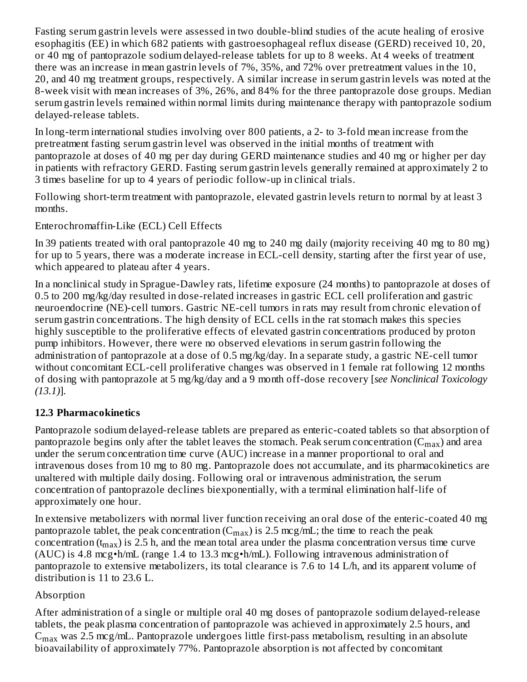Fasting serum gastrin levels were assessed in two double-blind studies of the acute healing of erosive esophagitis (EE) in which 682 patients with gastroesophageal reflux disease (GERD) received 10, 20, or 40 mg of pantoprazole sodium delayed-release tablets for up to 8 weeks. At 4 weeks of treatment there was an increase in mean gastrin levels of 7%, 35%, and 72% over pretreatment values in the 10, 20, and 40 mg treatment groups, respectively. A similar increase in serum gastrin levels was noted at the 8-week visit with mean increases of 3%, 26%, and 84% for the three pantoprazole dose groups. Median serum gastrin levels remained within normal limits during maintenance therapy with pantoprazole sodium delayed-release tablets.

In long-term international studies involving over 800 patients, a 2- to 3-fold mean increase from the pretreatment fasting serum gastrin level was observed in the initial months of treatment with pantoprazole at doses of 40 mg per day during GERD maintenance studies and 40 mg or higher per day in patients with refractory GERD. Fasting serum gastrin levels generally remained at approximately 2 to 3 times baseline for up to 4 years of periodic follow-up in clinical trials.

Following short-term treatment with pantoprazole, elevated gastrin levels return to normal by at least 3 months.

Enterochromaffin-Like (ECL) Cell Effects

In 39 patients treated with oral pantoprazole 40 mg to 240 mg daily (majority receiving 40 mg to 80 mg) for up to 5 years, there was a moderate increase in ECL-cell density, starting after the first year of use, which appeared to plateau after 4 years.

In a nonclinical study in Sprague-Dawley rats, lifetime exposure (24 months) to pantoprazole at doses of 0.5 to 200 mg/kg/day resulted in dose-related increases in gastric ECL cell proliferation and gastric neuroendocrine (NE)-cell tumors. Gastric NE-cell tumors in rats may result from chronic elevation of serum gastrin concentrations. The high density of ECL cells in the rat stomach makes this species highly susceptible to the proliferative effects of elevated gastrin concentrations produced by proton pump inhibitors. However, there were no observed elevations in serum gastrin following the administration of pantoprazole at a dose of 0.5 mg/kg/day. In a separate study, a gastric NE-cell tumor without concomitant ECL-cell proliferative changes was observed in 1 female rat following 12 months of dosing with pantoprazole at 5 mg/kg/day and a 9 month off-dose recovery [*see Nonclinical Toxicology (13.1)*].

#### **12.3 Pharmacokinetics**

Pantoprazole sodium delayed-release tablets are prepared as enteric-coated tablets so that absorption of pantoprazole begins only after the tablet leaves the stomach. Peak serum concentration ( $\rm C_{max}$ ) and area under the serum concentration time curve (AUC) increase in a manner proportional to oral and intravenous doses from 10 mg to 80 mg. Pantoprazole does not accumulate, and its pharmacokinetics are unaltered with multiple daily dosing. Following oral or intravenous administration, the serum concentration of pantoprazole declines biexponentially, with a terminal elimination half-life of approximately one hour.

In extensive metabolizers with normal liver function receiving an oral dose of the enteric-coated 40 mg pantoprazole tablet, the peak concentration ( $C_{max}$ ) is 2.5 mcg/mL; the time to reach the peak concentration (t<sub>max</sub>) is 2.5 h, and the mean total area under the plasma concentration versus time curve (AUC) is 4.8 mcg•h/mL (range 1.4 to 13.3 mcg•h/mL). Following intravenous administration of pantoprazole to extensive metabolizers, its total clearance is 7.6 to 14 L/h, and its apparent volume of distribution is 11 to 23.6 L.

#### Absorption

After administration of a single or multiple oral 40 mg doses of pantoprazole sodium delayed-release tablets, the peak plasma concentration of pantoprazole was achieved in approximately 2.5 hours, and  $\rm{C_{max}}$  was 2.5 mcg/mL. Pantoprazole undergoes little first-pass metabolism, resulting in an absolute bioavailability of approximately 77%. Pantoprazole absorption is not affected by concomitant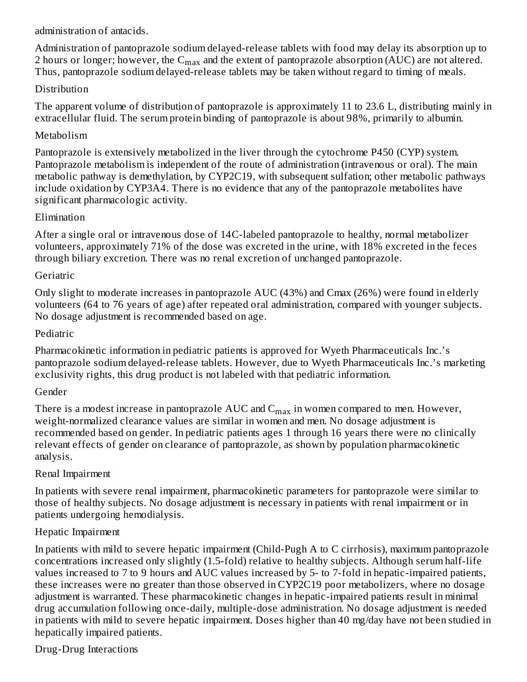administration of antacids.

Administration of pantoprazole sodium delayed-release tablets with food may delay its absorption up to 2 hours or longer; however, the  $\rm{C_{max}}$  and the extent of pantoprazole absorption (AUC) are not altered. Thus, pantoprazole sodium delayed-release tablets may be taken without regard to timing of meals.

#### **Distribution**

The apparent volume of distribution of pantoprazole is approximately 11 to 23.6 L, distributing mainly in extracellular fluid. The serum protein binding of pantoprazole is about 98%, primarily to albumin.

#### Metabolism

Pantoprazole is extensively metabolized in the liver through the cytochrome P450 (CYP) system. Pantoprazole metabolism is independent of the route of administration (intravenous or oral). The main metabolic pathway is demethylation, by CYP2C19, with subsequent sulfation; other metabolic pathways include oxidation by CYP3A4. There is no evidence that any of the pantoprazole metabolites have significant pharmacologic activity.

#### Elimination

After a single oral or intravenous dose of 14C-labeled pantoprazole to healthy, normal metabolizer volunteers, approximately 71% of the dose was excreted in the urine, with 18% excreted in the feces through biliary excretion. There was no renal excretion of unchanged pantoprazole.

#### **Geriatric**

Only slight to moderate increases in pantoprazole AUC (43%) and Cmax (26%) were found in elderly volunteers (64 to 76 years of age) after repeated oral administration, compared with younger subjects. No dosage adjustment is recommended based on age.

#### Pediatric

Pharmacokinetic information in pediatric patients is approved for Wyeth Pharmaceuticals Inc.'s pantoprazole sodium delayed-release tablets. However, due to Wyeth Pharmaceuticals Inc.'s marketing exclusivity rights, this drug product is not labeled with that pediatric information.

#### Gender

There is a modest increase in pantoprazole  $\mathop{\rm AUC}\nolimits$  and  $\mathop{\rm C_{max}}\nolimits$  in women compared to men. However, weight-normalized clearance values are similar in women and men. No dosage adjustment is recommended based on gender. In pediatric patients ages 1 through 16 years there were no clinically relevant effects of gender on clearance of pantoprazole, as shown by population pharmacokinetic analysis.

#### Renal Impairment

In patients with severe renal impairment, pharmacokinetic parameters for pantoprazole were similar to those of healthy subjects. No dosage adjustment is necessary in patients with renal impairment or in patients undergoing hemodialysis.

#### Hepatic Impairment

In patients with mild to severe hepatic impairment (Child-Pugh A to C cirrhosis), maximum pantoprazole concentrations increased only slightly (1.5-fold) relative to healthy subjects. Although serum half-life values increased to 7 to 9 hours and AUC values increased by 5- to 7-fold in hepatic-impaired patients, these increases were no greater than those observed in CYP2C19 poor metabolizers, where no dosage adjustment is warranted. These pharmacokinetic changes in hepatic-impaired patients result in minimal drug accumulation following once-daily, multiple-dose administration. No dosage adjustment is needed in patients with mild to severe hepatic impairment. Doses higher than 40 mg/day have not been studied in hepatically impaired patients.

#### Drug-Drug Interactions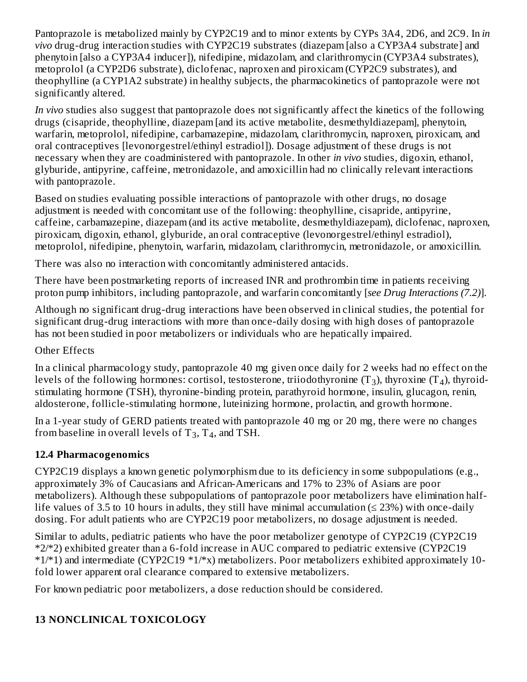Pantoprazole is metabolized mainly by CYP2C19 and to minor extents by CYPs 3A4, 2D6, and 2C9. In *in vivo* drug-drug interaction studies with CYP2C19 substrates (diazepam [also a CYP3A4 substrate] and phenytoin [also a CYP3A4 inducer]), nifedipine, midazolam, and clarithromycin (CYP3A4 substrates), metoprolol (a CYP2D6 substrate), diclofenac, naproxen and piroxicam (CYP2C9 substrates), and theophylline (a CYP1A2 substrate) in healthy subjects, the pharmacokinetics of pantoprazole were not significantly altered.

*In vivo* studies also suggest that pantoprazole does not significantly affect the kinetics of the following drugs (cisapride, theophylline, diazepam [and its active metabolite, desmethyldiazepam], phenytoin, warfarin, metoprolol, nifedipine, carbamazepine, midazolam, clarithromycin, naproxen, piroxicam, and oral contraceptives [levonorgestrel/ethinyl estradiol]). Dosage adjustment of these drugs is not necessary when they are coadministered with pantoprazole. In other *in vivo* studies, digoxin, ethanol, glyburide, antipyrine, caffeine, metronidazole, and amoxicillin had no clinically relevant interactions with pantoprazole.

Based on studies evaluating possible interactions of pantoprazole with other drugs, no dosage adjustment is needed with concomitant use of the following: theophylline, cisapride, antipyrine, caffeine, carbamazepine, diazepam (and its active metabolite, desmethyldiazepam), diclofenac, naproxen, piroxicam, digoxin, ethanol, glyburide, an oral contraceptive (levonorgestrel/ethinyl estradiol), metoprolol, nifedipine, phenytoin, warfarin, midazolam, clarithromycin, metronidazole, or amoxicillin.

There was also no interaction with concomitantly administered antacids.

There have been postmarketing reports of increased INR and prothrombin time in patients receiving proton pump inhibitors, including pantoprazole, and warfarin concomitantly [*see Drug Interactions (7.2)*].

Although no significant drug-drug interactions have been observed in clinical studies, the potential for significant drug-drug interactions with more than once-daily dosing with high doses of pantoprazole has not been studied in poor metabolizers or individuals who are hepatically impaired.

#### Other Effects

In a clinical pharmacology study, pantoprazole 40 mg given once daily for 2 weeks had no effect on the levels of the following hormones: cortisol, testosterone, triiodothyronine (T<sub>3</sub>), thyroxine (T<sub>4</sub>), thyroidstimulating hormone (TSH), thyronine-binding protein, parathyroid hormone, insulin, glucagon, renin, aldosterone, follicle-stimulating hormone, luteinizing hormone, prolactin, and growth hormone.

In a 1-year study of GERD patients treated with pantoprazole 40 mg or 20 mg, there were no changes from baseline in overall levels of  $T_3$ ,  $T_4$ , and TSH.

### **12.4 Pharmacogenomics**

CYP2C19 displays a known genetic polymorphism due to its deficiency in some subpopulations (e.g., approximately 3% of Caucasians and African-Americans and 17% to 23% of Asians are poor metabolizers). Although these subpopulations of pantoprazole poor metabolizers have elimination halflife values of 3.5 to 10 hours in adults, they still have minimal accumulation ( $\leq$  23%) with once-daily dosing. For adult patients who are CYP2C19 poor metabolizers, no dosage adjustment is needed.

Similar to adults, pediatric patients who have the poor metabolizer genotype of CYP2C19 (CYP2C19 \*2/\*2) exhibited greater than a 6-fold increase in AUC compared to pediatric extensive (CYP2C19 \*1/\*1) and intermediate (CYP2C19 \*1/\*x) metabolizers. Poor metabolizers exhibited approximately 10 fold lower apparent oral clearance compared to extensive metabolizers.

For known pediatric poor metabolizers, a dose reduction should be considered.

### **13 NONCLINICAL TOXICOLOGY**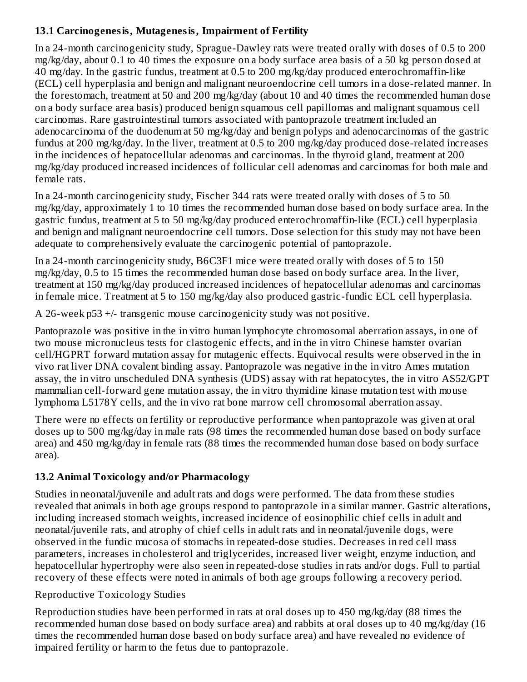### **13.1 Carcinogenesis, Mutagenesis, Impairment of Fertility**

In a 24-month carcinogenicity study, Sprague-Dawley rats were treated orally with doses of 0.5 to 200 mg/kg/day, about 0.1 to 40 times the exposure on a body surface area basis of a 50 kg person dosed at 40 mg/day. In the gastric fundus, treatment at 0.5 to 200 mg/kg/day produced enterochromaffin-like (ECL) cell hyperplasia and benign and malignant neuroendocrine cell tumors in a dose-related manner. In the forestomach, treatment at 50 and 200 mg/kg/day (about 10 and 40 times the recommended human dose on a body surface area basis) produced benign squamous cell papillomas and malignant squamous cell carcinomas. Rare gastrointestinal tumors associated with pantoprazole treatment included an adenocarcinoma of the duodenum at 50 mg/kg/day and benign polyps and adenocarcinomas of the gastric fundus at 200 mg/kg/day. In the liver, treatment at 0.5 to 200 mg/kg/day produced dose-related increases in the incidences of hepatocellular adenomas and carcinomas. In the thyroid gland, treatment at 200 mg/kg/day produced increased incidences of follicular cell adenomas and carcinomas for both male and female rats.

In a 24-month carcinogenicity study, Fischer 344 rats were treated orally with doses of 5 to 50 mg/kg/day, approximately 1 to 10 times the recommended human dose based on body surface area. In the gastric fundus, treatment at 5 to 50 mg/kg/day produced enterochromaffin-like (ECL) cell hyperplasia and benign and malignant neuroendocrine cell tumors. Dose selection for this study may not have been adequate to comprehensively evaluate the carcinogenic potential of pantoprazole.

In a 24-month carcinogenicity study, B6C3F1 mice were treated orally with doses of 5 to 150 mg/kg/day, 0.5 to 15 times the recommended human dose based on body surface area. In the liver, treatment at 150 mg/kg/day produced increased incidences of hepatocellular adenomas and carcinomas in female mice. Treatment at 5 to 150 mg/kg/day also produced gastric-fundic ECL cell hyperplasia.

A 26-week p53 +/- transgenic mouse carcinogenicity study was not positive.

Pantoprazole was positive in the in vitro human lymphocyte chromosomal aberration assays, in one of two mouse micronucleus tests for clastogenic effects, and in the in vitro Chinese hamster ovarian cell/HGPRT forward mutation assay for mutagenic effects. Equivocal results were observed in the in vivo rat liver DNA covalent binding assay. Pantoprazole was negative in the in vitro Ames mutation assay, the in vitro unscheduled DNA synthesis (UDS) assay with rat hepatocytes, the in vitro AS52/GPT mammalian cell-forward gene mutation assay, the in vitro thymidine kinase mutation test with mouse lymphoma L5178Y cells, and the in vivo rat bone marrow cell chromosomal aberration assay.

There were no effects on fertility or reproductive performance when pantoprazole was given at oral doses up to 500 mg/kg/day in male rats (98 times the recommended human dose based on body surface area) and 450 mg/kg/day in female rats (88 times the recommended human dose based on body surface area).

#### **13.2 Animal Toxicology and/or Pharmacology**

Studies in neonatal/juvenile and adult rats and dogs were performed. The data from these studies revealed that animals in both age groups respond to pantoprazole in a similar manner. Gastric alterations, including increased stomach weights, increased incidence of eosinophilic chief cells in adult and neonatal/juvenile rats, and atrophy of chief cells in adult rats and in neonatal/juvenile dogs, were observed in the fundic mucosa of stomachs in repeated-dose studies. Decreases in red cell mass parameters, increases in cholesterol and triglycerides, increased liver weight, enzyme induction, and hepatocellular hypertrophy were also seen in repeated-dose studies in rats and/or dogs. Full to partial recovery of these effects were noted in animals of both age groups following a recovery period.

#### Reproductive Toxicology Studies

Reproduction studies have been performed in rats at oral doses up to 450 mg/kg/day (88 times the recommended human dose based on body surface area) and rabbits at oral doses up to 40 mg/kg/day (16 times the recommended human dose based on body surface area) and have revealed no evidence of impaired fertility or harm to the fetus due to pantoprazole.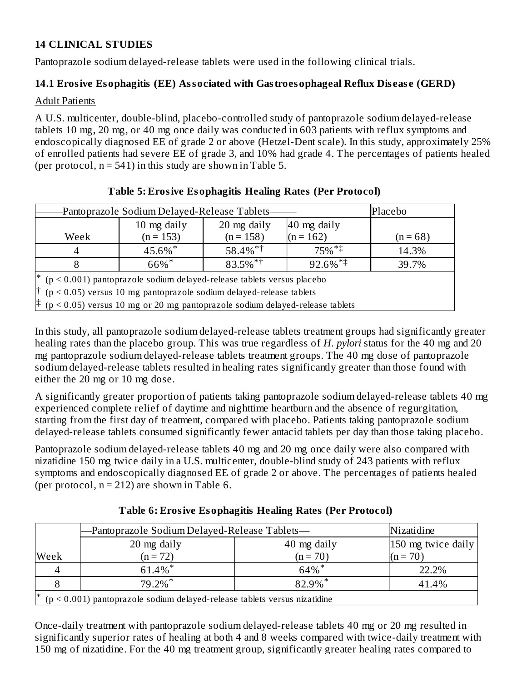### **14 CLINICAL STUDIES**

Pantoprazole sodium delayed-release tablets were used in the following clinical trials.

### **14.1 Erosive Esophagitis (EE) Associated with Gastroesophageal Reflux Dis eas e (GERD)**

#### Adult Patients

A U.S. multicenter, double-blind, placebo-controlled study of pantoprazole sodium delayed-release tablets 10 mg, 20 mg, or 40 mg once daily was conducted in 603 patients with reflux symptoms and endoscopically diagnosed EE of grade 2 or above (Hetzel-Dent scale). In this study, approximately 25% of enrolled patients had severe EE of grade 3, and 10% had grade 4. The percentages of patients healed (per protocol,  $n = 541$ ) in this study are shown in Table 5.

| Placebo<br>-Pantoprazole Sodium Delayed-Release Tablets-                                                                                                     |                                                                                             |                            |                            |            |  |
|--------------------------------------------------------------------------------------------------------------------------------------------------------------|---------------------------------------------------------------------------------------------|----------------------------|----------------------------|------------|--|
| Week                                                                                                                                                         | 10 mg daily<br>$(n = 153)$                                                                  | 20 mg daily<br>$(n = 158)$ | 40 mg daily<br>$(n = 162)$ | $(n = 68)$ |  |
|                                                                                                                                                              | 45.6%*                                                                                      | $58.4\%$ <sup>*†</sup>     | $75\%$ <sup>*‡</sup>       | 14.3%      |  |
|                                                                                                                                                              | 66%*                                                                                        | $83.5\%$ <sup>*†</sup>     | $92.6\%$ <sup>**</sup>     | 39.7%      |  |
| $*$ (p < 0.001) pantoprazole sodium delayed-release tablets versus placebo<br>$\uparrow$ (p < 0.05) versus 10 mg pantoprazole sodium delayed-release tablets |                                                                                             |                            |                            |            |  |
|                                                                                                                                                              | $\updownarrow$ (p < 0.05) versus 10 mg or 20 mg pantoprazole sodium delayed-release tablets |                            |                            |            |  |

### **Table 5: Erosive Esophagitis Healing Rates (Per Protocol)**

In this study, all pantoprazole sodium delayed-release tablets treatment groups had significantly greater healing rates than the placebo group. This was true regardless of *H. pylori* status for the 40 mg and 20 mg pantoprazole sodium delayed-release tablets treatment groups. The 40 mg dose of pantoprazole sodium delayed-release tablets resulted in healing rates significantly greater than those found with either the 20 mg or 10 mg dose.

A significantly greater proportion of patients taking pantoprazole sodium delayed-release tablets 40 mg experienced complete relief of daytime and nighttime heartburn and the absence of regurgitation, starting from the first day of treatment, compared with placebo. Patients taking pantoprazole sodium delayed-release tablets consumed significantly fewer antacid tablets per day than those taking placebo.

Pantoprazole sodium delayed-release tablets 40 mg and 20 mg once daily were also compared with nizatidine 150 mg twice daily in a U.S. multicenter, double-blind study of 243 patients with reflux symptoms and endoscopically diagnosed EE of grade 2 or above. The percentages of patients healed (per protocol,  $n = 212$ ) are shown in Table 6.

**Table 6: Erosive Esophagitis Healing Rates (Per Protocol)**

|                                                                                  | —Pantoprazole Sodium Delayed-Release Tablets— | Nizatidine                        |            |  |
|----------------------------------------------------------------------------------|-----------------------------------------------|-----------------------------------|------------|--|
|                                                                                  | 20 mg daily                                   | 150 mg twice daily<br>40 mg daily |            |  |
| Week                                                                             | $(n = 72)$                                    | $(n = 70)$                        | $(n = 70)$ |  |
|                                                                                  | 61.4%*                                        | $64\%$ *                          | 22.2%      |  |
|                                                                                  | $79.2\%$ <sup>*</sup>                         | 82.9%*                            | 41.4%      |  |
| ∗<br>$(p < 0.001)$ pantoprazole sodium delayed-release tablets versus nizatidine |                                               |                                   |            |  |

Once-daily treatment with pantoprazole sodium delayed-release tablets 40 mg or 20 mg resulted in significantly superior rates of healing at both 4 and 8 weeks compared with twice-daily treatment with 150 mg of nizatidine. For the 40 mg treatment group, significantly greater healing rates compared to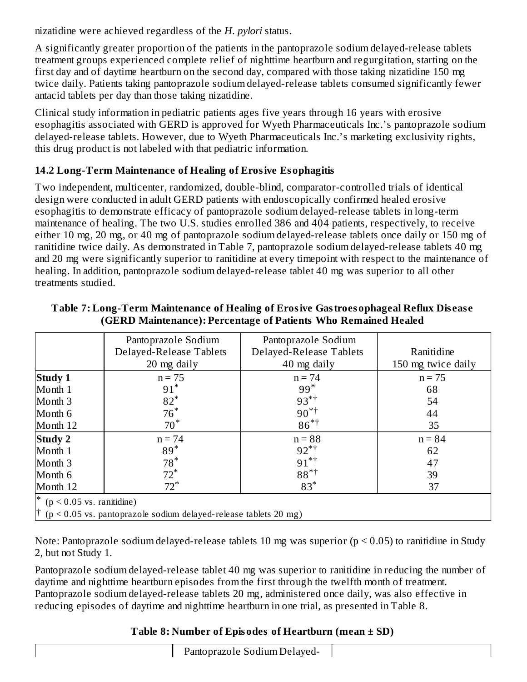nizatidine were achieved regardless of the *H. pylori* status.

A significantly greater proportion of the patients in the pantoprazole sodium delayed-release tablets treatment groups experienced complete relief of nighttime heartburn and regurgitation, starting on the first day and of daytime heartburn on the second day, compared with those taking nizatidine 150 mg twice daily. Patients taking pantoprazole sodium delayed-release tablets consumed significantly fewer antacid tablets per day than those taking nizatidine.

Clinical study information in pediatric patients ages five years through 16 years with erosive esophagitis associated with GERD is approved for Wyeth Pharmaceuticals Inc.'s pantoprazole sodium delayed-release tablets. However, due to Wyeth Pharmaceuticals Inc.'s marketing exclusivity rights, this drug product is not labeled with that pediatric information.

### **14.2 Long-Term Maintenance of Healing of Erosive Esophagitis**

Two independent, multicenter, randomized, double-blind, comparator-controlled trials of identical design were conducted in adult GERD patients with endoscopically confirmed healed erosive esophagitis to demonstrate efficacy of pantoprazole sodium delayed-release tablets in long-term maintenance of healing. The two U.S. studies enrolled 386 and 404 patients, respectively, to receive either 10 mg, 20 mg, or 40 mg of pantoprazole sodium delayed-release tablets once daily or 150 mg of ranitidine twice daily. As demonstrated in Table 7, pantoprazole sodium delayed-release tablets 40 mg and 20 mg were significantly superior to ranitidine at every timepoint with respect to the maintenance of healing. In addition, pantoprazole sodium delayed-release tablet 40 mg was superior to all other treatments studied.

|                                                                             | Pantoprazole Sodium<br>Delayed-Release Tablets<br>20 mg daily | Pantoprazole Sodium<br>Delayed-Release Tablets<br>40 mg daily | Ranitidine<br>150 mg twice daily |  |  |
|-----------------------------------------------------------------------------|---------------------------------------------------------------|---------------------------------------------------------------|----------------------------------|--|--|
| <b>Study 1</b>                                                              | $n = 75$                                                      | $n = 74$                                                      | $n = 75$                         |  |  |
| Month 1                                                                     | $91^*$                                                        | $99*$                                                         | 68                               |  |  |
| Month 3                                                                     | $82*$                                                         | $93*^{\dagger}$                                               | 54                               |  |  |
| Month 6                                                                     | $76*$                                                         | $90^{*+}$                                                     | 44                               |  |  |
| Month 12                                                                    | $70*$                                                         | $86*^{\dagger}$                                               | 35                               |  |  |
| <b>Study 2</b>                                                              | $n = 74$                                                      | $n = 88$                                                      | $n = 84$                         |  |  |
| Month 1                                                                     | $89*$                                                         | $92^{*}$ <sup>†</sup>                                         | 62                               |  |  |
| Month 3                                                                     | $78*$                                                         | $91^{*+}$                                                     | 47                               |  |  |
| Month 6                                                                     | $72^*$                                                        | $88*^+$                                                       | 39                               |  |  |
| Month 12                                                                    | $72^*$                                                        | $83*$                                                         | 37                               |  |  |
| * ( $p < 0.05$ vs. ranitidine)                                              |                                                               |                                                               |                                  |  |  |
| $\uparrow$ (p < 0.05 vs. pantoprazole sodium delayed-release tablets 20 mg) |                                                               |                                                               |                                  |  |  |

#### **Table 7: Long-Term Maintenance of Healing of Erosive Gastroesophageal Reflux Dis eas e (GERD Maintenance): Percentage of Patients Who Remained Healed**

Note: Pantoprazole sodium delayed-release tablets 10 mg was superior ( $p < 0.05$ ) to ranitidine in Study 2, but not Study 1.

Pantoprazole sodium delayed-release tablet 40 mg was superior to ranitidine in reducing the number of daytime and nighttime heartburn episodes from the first through the twelfth month of treatment. Pantoprazole sodium delayed-release tablets 20 mg, administered once daily, was also effective in reducing episodes of daytime and nighttime heartburn in one trial, as presented in Table 8.

### **Table 8: Number of Episodes of Heartburn (mean ± SD)**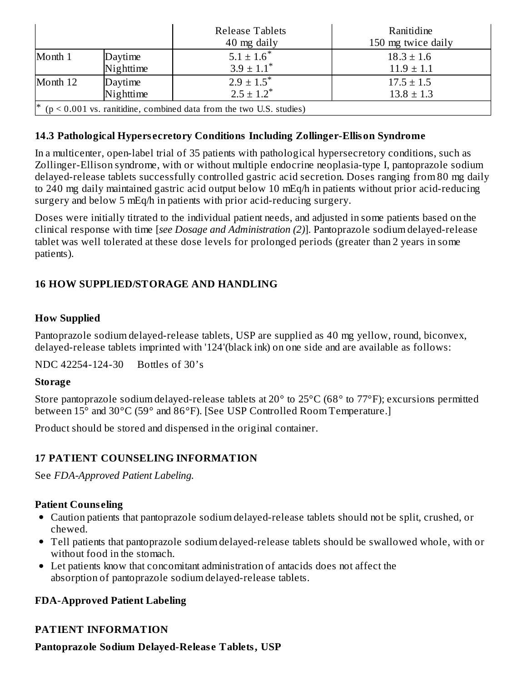|                                                                            |           | <b>Release Tablets</b><br>40 mg daily | Ranitidine<br>150 mg twice daily |  |
|----------------------------------------------------------------------------|-----------|---------------------------------------|----------------------------------|--|
| Month 1                                                                    | Daytime   | $5.1 \pm 1.6^*$                       | $18.3 \pm 1.6$                   |  |
|                                                                            | Nighttime | $3.9 \pm 1.1^*$                       | $11.9 \pm 1.1$                   |  |
| Month 12                                                                   | Daytime   | $2.9 \pm 1.5^*$                       | $17.5 \pm 1.5$                   |  |
|                                                                            | Nighttime | $2.5 \pm 1.2^*$                       | $13.8 \pm 1.3$                   |  |
| ∗<br>$(p < 0.001$ vs. ranitidine, combined data from the two U.S. studies) |           |                                       |                                  |  |

#### **14.3 Pathological Hypers ecretory Conditions Including Zollinger-Ellison Syndrome**

In a multicenter, open-label trial of 35 patients with pathological hypersecretory conditions, such as Zollinger-Ellison syndrome, with or without multiple endocrine neoplasia-type I, pantoprazole sodium delayed-release tablets successfully controlled gastric acid secretion. Doses ranging from 80 mg daily to 240 mg daily maintained gastric acid output below 10 mEq/h in patients without prior acid-reducing surgery and below 5 mEq/h in patients with prior acid-reducing surgery.

Doses were initially titrated to the individual patient needs, and adjusted in some patients based on the clinical response with time [*see Dosage and Administration (2)*]. Pantoprazole sodium delayed-release tablet was well tolerated at these dose levels for prolonged periods (greater than 2 years in some patients).

### **16 HOW SUPPLIED/STORAGE AND HANDLING**

#### **How Supplied**

Pantoprazole sodium delayed-release tablets, USP are supplied as 40 mg yellow, round, biconvex, delayed-release tablets imprinted with '124'(black ink) on one side and are available as follows:

NDC 42254-124-30 Bottles of 30's

#### **Storage**

Store pantoprazole sodium delayed-release tablets at 20° to 25°C (68° to 77°F); excursions permitted between 15° and 30°C (59° and 86°F). [See USP Controlled Room Temperature.]

Product should be stored and dispensed in the original container.

#### **17 PATIENT COUNSELING INFORMATION**

See *FDA-Approved Patient Labeling.*

#### **Patient Couns eling**

- Caution patients that pantoprazole sodium delayed-release tablets should not be split, crushed, or chewed.
- Tell patients that pantoprazole sodium delayed-release tablets should be swallowed whole, with or without food in the stomach.
- Let patients know that concomitant administration of antacids does not affect the absorption of pantoprazole sodium delayed-release tablets.

#### **FDA-Approved Patient Labeling**

### **PATIENT INFORMATION**

**Pantoprazole Sodium Delayed-Releas e Tablets, USP**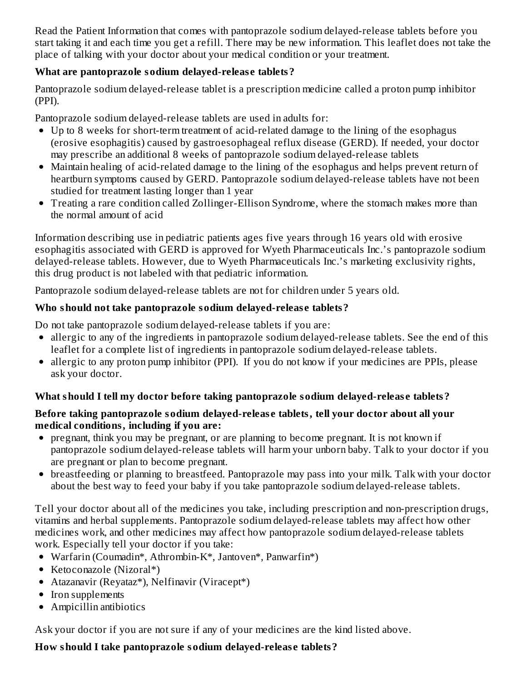Read the Patient Information that comes with pantoprazole sodium delayed-release tablets before you start taking it and each time you get a refill. There may be new information. This leaflet does not take the place of talking with your doctor about your medical condition or your treatment.

### **What are pantoprazole sodium delayed-releas e tablets?**

Pantoprazole sodium delayed-release tablet is a prescription medicine called a proton pump inhibitor (PPI).

Pantoprazole sodium delayed-release tablets are used in adults for:

- Up to 8 weeks for short-term treatment of acid-related damage to the lining of the esophagus (erosive esophagitis) caused by gastroesophageal reflux disease (GERD). If needed, your doctor may prescribe an additional 8 weeks of pantoprazole sodium delayed-release tablets
- Maintain healing of acid-related damage to the lining of the esophagus and helps prevent return of heartburn symptoms caused by GERD. Pantoprazole sodium delayed-release tablets have not been studied for treatment lasting longer than 1 year
- Treating a rare condition called Zollinger-Ellison Syndrome, where the stomach makes more than the normal amount of acid

Information describing use in pediatric patients ages five years through 16 years old with erosive esophagitis associated with GERD is approved for Wyeth Pharmaceuticals Inc.'s pantoprazole sodium delayed-release tablets. However, due to Wyeth Pharmaceuticals Inc.'s marketing exclusivity rights, this drug product is not labeled with that pediatric information.

Pantoprazole sodium delayed-release tablets are not for children under 5 years old.

### **Who should not take pantoprazole sodium delayed-releas e tablets?**

Do not take pantoprazole sodium delayed-release tablets if you are:

- allergic to any of the ingredients in pantoprazole sodium delayed-release tablets. See the end of this leaflet for a complete list of ingredients in pantoprazole sodium delayed-release tablets.
- allergic to any proton pump inhibitor (PPI). If you do not know if your medicines are PPIs, please ask your doctor.

### **What should I tell my doctor before taking pantoprazole sodium delayed-releas e tablets?**

### **Before taking pantoprazole sodium delayed-releas e tablets, tell your doctor about all your medical conditions, including if you are:**

- pregnant, think you may be pregnant, or are planning to become pregnant. It is not known if pantoprazole sodium delayed-release tablets will harm your unborn baby. Talk to your doctor if you are pregnant or plan to become pregnant.
- breastfeeding or planning to breastfeed. Pantoprazole may pass into your milk. Talk with your doctor about the best way to feed your baby if you take pantoprazole sodium delayed-release tablets.

Tell your doctor about all of the medicines you take, including prescription and non-prescription drugs, vitamins and herbal supplements. Pantoprazole sodium delayed-release tablets may affect how other medicines work, and other medicines may affect how pantoprazole sodium delayed-release tablets work. Especially tell your doctor if you take:

- Warfarin (Coumadin\*, Athrombin-K\*, Jantoven\*, Panwarfin\*)
- Ketoconazole (Nizoral\*)
- Atazanavir (Reyataz\*), Nelfinavir (Viracept\*)
- Iron supplements
- Ampicillin antibiotics

Ask your doctor if you are not sure if any of your medicines are the kind listed above.

**How should I take pantoprazole sodium delayed-releas e tablets?**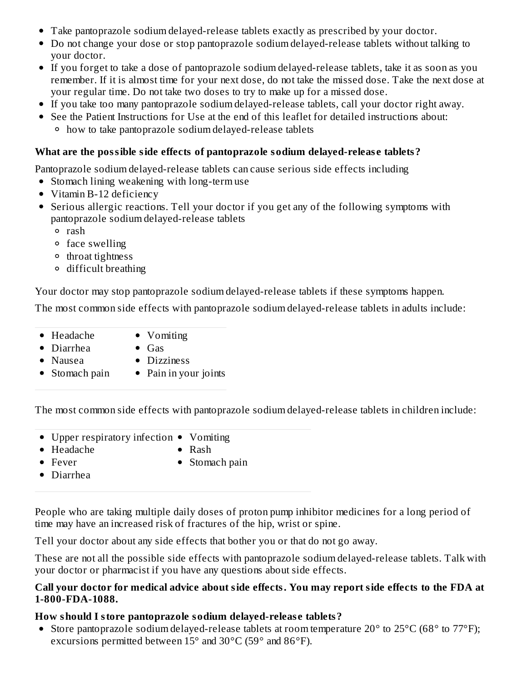- Take pantoprazole sodium delayed-release tablets exactly as prescribed by your doctor.
- Do not change your dose or stop pantoprazole sodium delayed-release tablets without talking to your doctor.
- If you forget to take a dose of pantoprazole sodium delayed-release tablets, take it as soon as you remember. If it is almost time for your next dose, do not take the missed dose. Take the next dose at your regular time. Do not take two doses to try to make up for a missed dose.
- If you take too many pantoprazole sodium delayed-release tablets, call your doctor right away.
- See the Patient Instructions for Use at the end of this leaflet for detailed instructions about: how to take pantoprazole sodium delayed-release tablets

### **What are the possible side effects of pantoprazole sodium delayed-releas e tablets?**

Pantoprazole sodium delayed-release tablets can cause serious side effects including

- Stomach lining weakening with long-term use
- Vitamin B-12 deficiency
- Serious allergic reactions. Tell your doctor if you get any of the following symptoms with pantoprazole sodium delayed-release tablets
	- rash
	- face swelling
	- <sup>o</sup> throat tightness
	- difficult breathing

Your doctor may stop pantoprazole sodium delayed-release tablets if these symptoms happen.

The most common side effects with pantoprazole sodium delayed-release tablets in adults include:

- Headache • Vomiting
- Diarrhea
- $\bullet$  Gas
- Nausea
- 
- Dizziness
- Stomach pain • Pain in your joints

The most common side effects with pantoprazole sodium delayed-release tablets in children include:

- Upper respiratory infection Vomiting
- Headache

• Rash

Fever

• Stomach pain

Diarrhea

People who are taking multiple daily doses of proton pump inhibitor medicines for a long period of time may have an increased risk of fractures of the hip, wrist or spine.

Tell your doctor about any side effects that bother you or that do not go away.

These are not all the possible side effects with pantoprazole sodium delayed-release tablets. Talk with your doctor or pharmacist if you have any questions about side effects.

#### **Call your doctor for medical advice about side effects. You may report side effects to the FDA at 1-800-FDA-1088.**

### **How should I store pantoprazole sodium delayed-releas e tablets?**

• Store pantoprazole sodium delayed-release tablets at room temperature 20° to 25°C (68° to 77°F); excursions permitted between 15° and 30°C (59° and 86°F).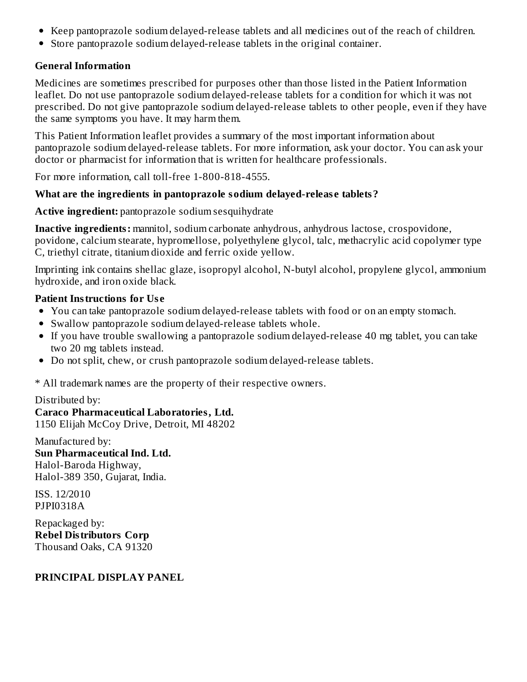- Keep pantoprazole sodium delayed-release tablets and all medicines out of the reach of children.
- Store pantoprazole sodium delayed-release tablets in the original container.

### **General Information**

Medicines are sometimes prescribed for purposes other than those listed in the Patient Information leaflet. Do not use pantoprazole sodium delayed-release tablets for a condition for which it was not prescribed. Do not give pantoprazole sodium delayed-release tablets to other people, even if they have the same symptoms you have. It may harm them.

This Patient Information leaflet provides a summary of the most important information about pantoprazole sodium delayed-release tablets. For more information, ask your doctor. You can ask your doctor or pharmacist for information that is written for healthcare professionals.

For more information, call toll-free 1-800-818-4555.

### **What are the ingredients in pantoprazole sodium delayed-releas e tablets?**

**Active ingredient:** pantoprazole sodium sesquihydrate

**Inactive ingredients:** mannitol, sodium carbonate anhydrous, anhydrous lactose, crospovidone, povidone, calcium stearate, hypromellose, polyethylene glycol, talc, methacrylic acid copolymer type C, triethyl citrate, titanium dioxide and ferric oxide yellow.

Imprinting ink contains shellac glaze, isopropyl alcohol, N-butyl alcohol, propylene glycol, ammonium hydroxide, and iron oxide black.

### **Patient Instructions for Us e**

- You can take pantoprazole sodium delayed-release tablets with food or on an empty stomach.
- Swallow pantoprazole sodium delayed-release tablets whole.
- If you have trouble swallowing a pantoprazole sodium delayed-release 40 mg tablet, you can take two 20 mg tablets instead.
- Do not split, chew, or crush pantoprazole sodium delayed-release tablets.

\* All trademark names are the property of their respective owners.

#### Distributed by:

**Caraco Pharmaceutical Laboratories, Ltd.** 1150 Elijah McCoy Drive, Detroit, MI 48202

Manufactured by: **Sun Pharmaceutical Ind. Ltd.** Halol-Baroda Highway, Halol-389 350, Gujarat, India.

ISS. 12/2010 PJPI0318A

Repackaged by: **Rebel Distributors Corp** Thousand Oaks, CA 91320

#### **PRINCIPAL DISPLAY PANEL**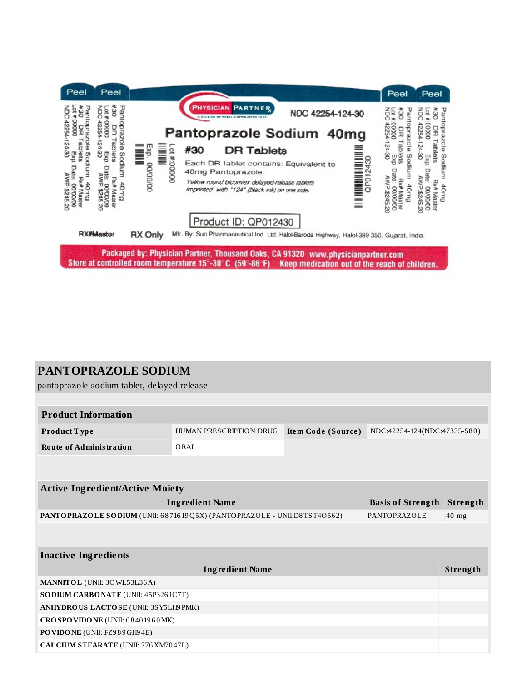

| <b>PANTOPRAZOLE SODIUM</b>                                                              |                         |                    |                              |          |  |  |  |
|-----------------------------------------------------------------------------------------|-------------------------|--------------------|------------------------------|----------|--|--|--|
| pantoprazole sodium tablet, delayed release                                             |                         |                    |                              |          |  |  |  |
|                                                                                         |                         |                    |                              |          |  |  |  |
| <b>Product Information</b>                                                              |                         |                    |                              |          |  |  |  |
| Product Type                                                                            | HUMAN PRESCRIPTION DRUG | Item Code (Source) | NDC:42254-124(NDC:47335-580) |          |  |  |  |
| <b>Route of Administration</b>                                                          | ORAL                    |                    |                              |          |  |  |  |
|                                                                                         |                         |                    |                              |          |  |  |  |
|                                                                                         |                         |                    |                              |          |  |  |  |
| <b>Active Ingredient/Active Moiety</b>                                                  |                         |                    |                              |          |  |  |  |
| <b>Ingredient Name</b>                                                                  |                         |                    | <b>Basis of Strength</b>     | Strength |  |  |  |
| PANTOPRAZOLE SODIUM (UNII: 6871619Q5X) (PANTOPRAZOLE - UNII:D8TST4O562)<br>PANTOPRAZOLE |                         |                    |                              | $40$ mg  |  |  |  |
|                                                                                         |                         |                    |                              |          |  |  |  |
|                                                                                         |                         |                    |                              |          |  |  |  |
| <b>Inactive Ingredients</b>                                                             |                         |                    |                              |          |  |  |  |
| <b>Ingredient Name</b>                                                                  |                         |                    |                              | Strength |  |  |  |
| <b>MANNITOL</b> (UNII: 30WL53L36A)                                                      |                         |                    |                              |          |  |  |  |
| SODIUM CARBONATE (UNII: 45P3261C7T)                                                     |                         |                    |                              |          |  |  |  |
| ANHYDROUS LACTOSE (UNII: 3SY5LH9PMK)                                                    |                         |                    |                              |          |  |  |  |
| CROSPOVIDONE (UNII: 68401960MK)                                                         |                         |                    |                              |          |  |  |  |
| PO VIDO NE (UNII: FZ989GH94E)                                                           |                         |                    |                              |          |  |  |  |
| CALCIUM STEARATE (UNII: 776 XM70 47L)                                                   |                         |                    |                              |          |  |  |  |